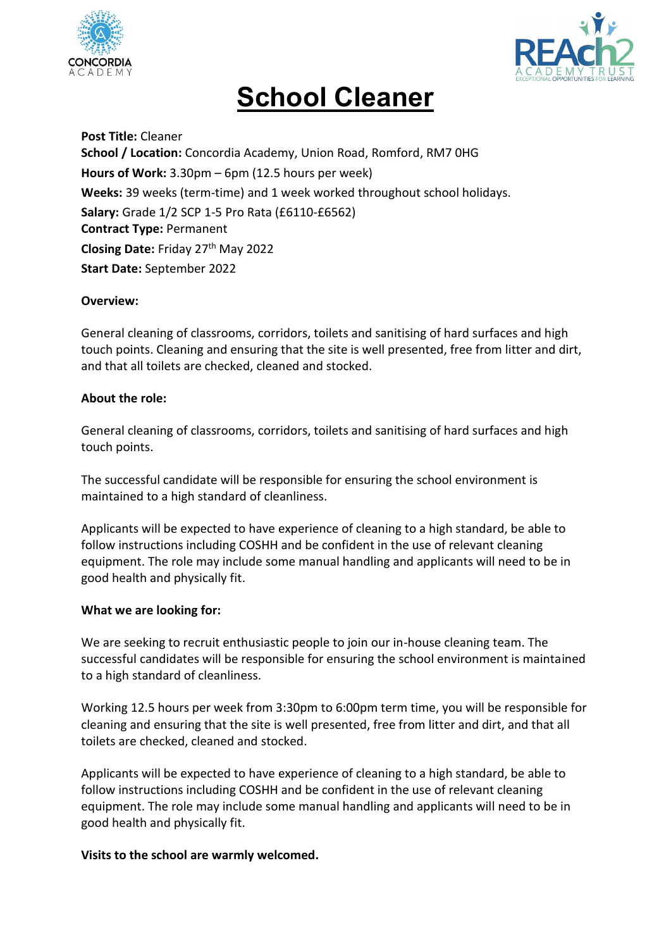



# **School Cleaner**

**Post Title:** Cleaner **School / Location:** Concordia Academy, Union Road, Romford, RM7 0HG **Hours of Work:** 3.30pm – 6pm (12.5 hours per week) **Weeks:** 39 weeks (term-time) and 1 week worked throughout school holidays. **Salary:** Grade 1/2 SCP 1-5 Pro Rata (£6110-£6562) **Contract Type:** Permanent **Closing Date:** Friday 27th May 2022 **Start Date:** September 2022

## **Overview:**

General cleaning of classrooms, corridors, toilets and sanitising of hard surfaces and high touch points. Cleaning and ensuring that the site is well presented, free from litter and dirt, and that all toilets are checked, cleaned and stocked.

## **About the role:**

General cleaning of classrooms, corridors, toilets and sanitising of hard surfaces and high touch points.

The successful candidate will be responsible for ensuring the school environment is maintained to a high standard of cleanliness.

Applicants will be expected to have experience of cleaning to a high standard, be able to follow instructions including COSHH and be confident in the use of relevant cleaning equipment. The role may include some manual handling and applicants will need to be in good health and physically fit.

#### **What we are looking for:**

We are seeking to recruit enthusiastic people to join our in-house cleaning team. The successful candidates will be responsible for ensuring the school environment is maintained to a high standard of cleanliness.

Working 12.5 hours per week from 3:30pm to 6:00pm term time, you will be responsible for cleaning and ensuring that the site is well presented, free from litter and dirt, and that all toilets are checked, cleaned and stocked.

Applicants will be expected to have experience of cleaning to a high standard, be able to follow instructions including COSHH and be confident in the use of relevant cleaning equipment. The role may include some manual handling and applicants will need to be in good health and physically fit.

#### **Visits to the school are warmly welcomed.**